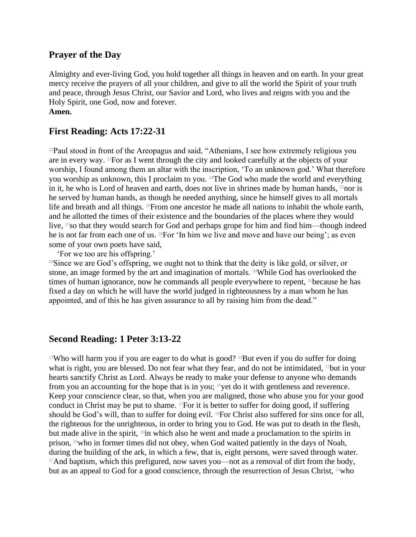## **Prayer of the Day**

Almighty and ever-living God, you hold together all things in heaven and on earth. In your great mercy receive the prayers of all your children, and give to all the world the Spirit of your truth and peace, through Jesus Christ, our Savior and Lord, who lives and reigns with you and the Holy Spirit, one God, now and forever. **Amen.**

## **First Reading: Acts 17:22-31**

<sup>22</sup>Paul stood in front of the Areopagus and said, "Athenians, I see how extremely religious you are in every way. 23For as I went through the city and looked carefully at the objects of your worship, I found among them an altar with the inscription, 'To an unknown god.' What therefore you worship as unknown, this I proclaim to you. 24The God who made the world and everything in it, he who is Lord of heaven and earth, does not live in shrines made by human hands,  $25$ nor is he served by human hands, as though he needed anything, since he himself gives to all mortals life and breath and all things. 26From one ancestor he made all nations to inhabit the whole earth, and he allotted the times of their existence and the boundaries of the places where they would live, <sup>27</sup>so that they would search for God and perhaps grope for him and find him—though indeed he is not far from each one of us. 28For 'In him we live and move and have our being'; as even some of your own poets have said,

'For we too are his offspring.'

<sup>29</sup>Since we are God's offspring, we ought not to think that the deity is like gold, or silver, or stone, an image formed by the art and imagination of mortals. <sup>30</sup>While God has overlooked the times of human ignorance, now he commands all people everywhere to repent, <sup>31</sup>because he has fixed a day on which he will have the world judged in righteousness by a man whom he has appointed, and of this he has given assurance to all by raising him from the dead."

## **Second Reading: 1 Peter 3:13-22**

<sup>13</sup>Who will harm you if you are eager to do what is good?  $14$ But even if you do suffer for doing what is right, you are blessed. Do not fear what they fear, and do not be intimidated, 15but in your hearts sanctify Christ as Lord. Always be ready to make your defense to anyone who demands from you an accounting for the hope that is in you; <sup>16</sup>yet do it with gentleness and reverence. Keep your conscience clear, so that, when you are maligned, those who abuse you for your good conduct in Christ may be put to shame. 17For it is better to suffer for doing good, if suffering should be God's will, than to suffer for doing evil. 18For Christ also suffered for sins once for all, the righteous for the unrighteous, in order to bring you to God. He was put to death in the flesh, but made alive in the spirit, <sup>19</sup>in which also he went and made a proclamation to the spirits in prison, 20who in former times did not obey, when God waited patiently in the days of Noah, during the building of the ark, in which a few, that is, eight persons, were saved through water. <sup>21</sup>And baptism, which this prefigured, now saves you—not as a removal of dirt from the body, but as an appeal to God for a good conscience, through the resurrection of Jesus Christ,  $2^{\omega}$ who